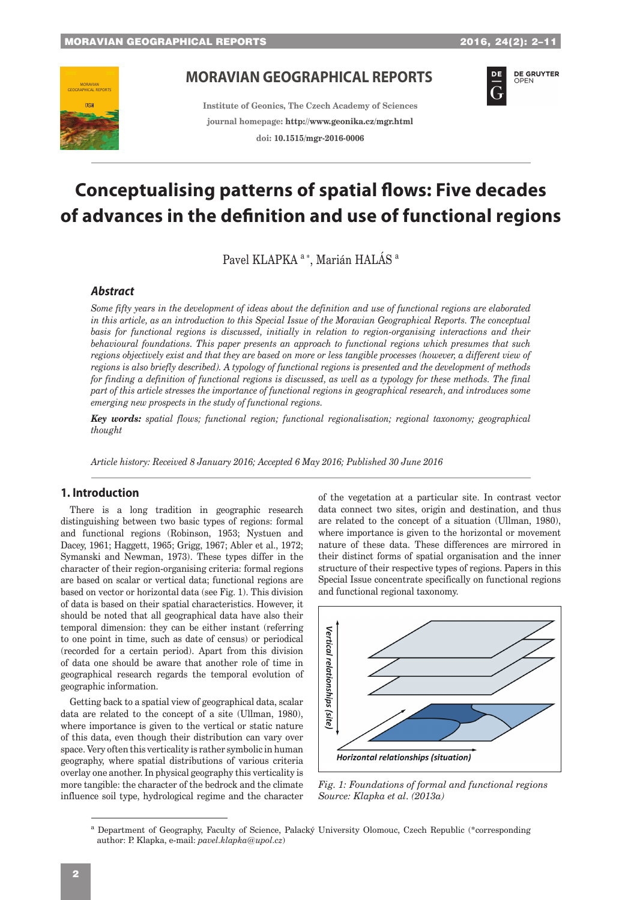DE GRUYTER



# MORAVIAN **MORAVIAN GEOGRAPHICAL REPORTS**

**Institute of Geonics, The Czech Academy of Sciences journal homepage: <http://www.geonika.cz/mgr.html> doi: 10.1515/mgr-2016-0006**



Pavel KLAPKA<sup>a</sup>\*, Marián HALÁS<sup>a</sup>

## *Abstract*

*Some fifty years in the development of ideas about the definition and use of functional regions are elaborated in this article, as an introduction to this Special Issue of the Moravian Geographical Reports. The conceptual basis for functional regions is discussed, initially in relation to region-organising interactions and their behavioural foundations. This paper presents an approach to functional regions which presumes that such regions objectively exist and that they are based on more or less tangible processes (however, a different view of regions is also briefly described). A typology of functional regions is presented and the development of methods for finding a definition of functional regions is discussed, as well as a typology for these methods. The final part of this article stresses the importance of functional regions in geographical research, and introduces some emerging new prospects in the study of functional regions.*

*Key words: spatial flows; functional region; functional regionalisation; regional taxonomy; geographical thought*

*Article history: Received 8 January 2016; Accepted 6 May 2016; Published 30 June 2016*

## **1. Introduction**

There is a long tradition in geographic research distinguishing between two basic types of regions: formal and functional regions (Robinson, 1953; Nystuen and Dacey, 1961; Haggett, 1965; Grigg, 1967; Abler et al., 1972; Symanski and Newman, 1973). These types differ in the character of their region-organising criteria: formal regions are based on scalar or vertical data; functional regions are based on vector or horizontal data (see Fig. 1). This division of data is based on their spatial characteristics. However, it should be noted that all geographical data have also their temporal dimension: they can be either instant (referring to one point in time, such as date of census) or periodical (recorded for a certain period). Apart from this division of data one should be aware that another role of time in geographical research regards the temporal evolution of geographic information.

Getting back to a spatial view of geographical data, scalar data are related to the concept of a site (Ullman, 1980), where importance is given to the vertical or static nature of this data, even though their distribution can vary over space. Very often this verticality is rather symbolic in human geography, where spatial distributions of various criteria overlay one another. In physical geography this verticality is more tangible: the character of the bedrock and the climate influence soil type, hydrological regime and the character

of the vegetation at a particular site. In contrast vector data connect two sites, origin and destination, and thus are related to the concept of a situation (Ullman, 1980), where importance is given to the horizontal or movement nature of these data. These differences are mirrored in their distinct forms of spatial organisation and the inner structure of their respective types of regions. Papers in this Special Issue concentrate specifically on functional regions and functional regional taxonomy.



*Fig. 1: Foundations of formal and functional regions Source: Klapka et al. (2013a)*

a Department of Geography, Faculty of Science, Palacký University Olomouc, Czech Republic (\*corresponding author: P. Klapka, e-mail: *pavel.klapka@upol.cz*)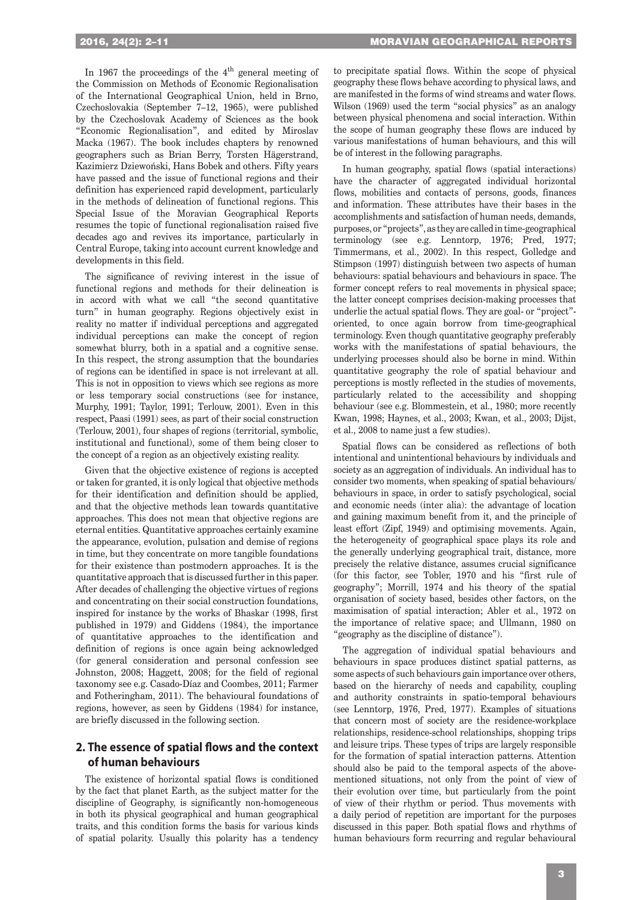2016, 24(2) MORAVIAN GEOGRAPHICAL REPORTS

In 1967 the proceedings of the  $4<sup>th</sup>$  general meeting of the Commission on Methods of Economic Regionalisation of the International Geographical Union, held in Brno, Czechoslovakia (September 7–12, 1965), were published by the Czechoslovak Academy of Sciences as the book "Economic Regionalisation", and edited by Miroslav Macka (1967). The book includes chapters by renowned geographers such as Brian Berry, Torsten Hägerstrand, Kazimierz Dziewoński, Hans Bobek and others. Fifty years have passed and the issue of functional regions and their definition has experienced rapid development, particularly in the methods of delineation of functional regions. This Special Issue of the Moravian Geographical Reports resumes the topic of functional regionalisation raised five decades ago and revives its importance, particularly in Central Europe, taking into account current knowledge and developments in this field.

The significance of reviving interest in the issue of functional regions and methods for their delineation is in accord with what we call "the second quantitative turn" in human geography. Regions objectively exist in reality no matter if individual perceptions and aggregated individual perceptions can make the concept of region somewhat blurry, both in a spatial and a cognitive sense. In this respect, the strong assumption that the boundaries of regions can be identified in space is not irrelevant at all. This is not in opposition to views which see regions as more or less temporary social constructions (see for instance, Murphy, 1991; Taylor, 1991; Terlouw, 2001). Even in this respect, Paasi (1991) sees, as part of their social construction (Terlouw, 2001), four shapes of regions (territorial, symbolic, institutional and functional), some of them being closer to the concept of a region as an objectively existing reality.

Given that the objective existence of regions is accepted or taken for granted, it is only logical that objective methods for their identification and definition should be applied, and that the objective methods lean towards quantitative approaches. This does not mean that objective regions are eternal entities. Quantitative approaches certainly examine the appearance, evolution, pulsation and demise of regions in time, but they concentrate on more tangible foundations for their existence than postmodern approaches. It is the quantitative approach that is discussed further in this paper. After decades of challenging the objective virtues of regions and concentrating on their social construction foundations, inspired for instance by the works of Bhaskar (1998, first published in 1979) and Giddens (1984), the importance of quantitative approaches to the identification and definition of regions is once again being acknowledged (for general consideration and personal confession see Johnston, 2008; Haggett, 2008; for the field of regional taxonomy see e.g. Casado-Díaz and Coombes, 2011; Farmer and Fotheringham, 2011). The behavioural foundations of regions, however, as seen by Giddens (1984) for instance, are briefly discussed in the following section.

## **2. The essence of spatial flows and the context of human behaviours**

The existence of horizontal spatial flows is conditioned by the fact that planet Earth, as the subject matter for the discipline of Geography, is significantly non-homogeneous in both its physical geographical and human geographical traits, and this condition forms the basis for various kinds of spatial polarity. Usually this polarity has a tendency to precipitate spatial flows. Within the scope of physical geography these flows behave according to physical laws, and are manifested in the forms of wind streams and water flows. Wilson (1969) used the term "social physics" as an analogy between physical phenomena and social interaction. Within the scope of human geography these flows are induced by various manifestations of human behaviours, and this will be of interest in the following paragraphs.

In human geography, spatial flows (spatial interactions) have the character of aggregated individual horizontal flows, mobilities and contacts of persons, goods, finances and information. These attributes have their bases in the accomplishments and satisfaction of human needs, demands, purposes, or "projects", as they are called in time-geographical terminology (see e.g. Lenntorp, 1976; Pred, 1977; Timmermans, et al., 2002). In this respect, Golledge and Stimpson (1997) distinguish between two aspects of human behaviours: spatial behaviours and behaviours in space. The former concept refers to real movements in physical space; the latter concept comprises decision-making processes that underlie the actual spatial flows. They are goal- or "project" oriented, to once again borrow from time-geographical terminology. Even though quantitative geography preferably works with the manifestations of spatial behaviours, the underlying processes should also be borne in mind. Within quantitative geography the role of spatial behaviour and perceptions is mostly reflected in the studies of movements, particularly related to the accessibility and shopping behaviour (see e.g. Blommestein, et al., 1980; more recently Kwan, 1998; Haynes, et al., 2003; Kwan, et al., 2003; Dijst, et al., 2008 to name just a few studies).

Spatial flows can be considered as reflections of both intentional and unintentional behaviours by individuals and society as an aggregation of individuals. An individual has to consider two moments, when speaking of spatial behaviours/ behaviours in space, in order to satisfy psychological, social and economic needs (inter alia): the advantage of location and gaining maximum benefit from it, and the principle of least effort (Zipf, 1949) and optimising movements. Again, the heterogeneity of geographical space plays its role and the generally underlying geographical trait, distance, more precisely the relative distance, assumes crucial significance (for this factor, see Tobler, 1970 and his "first rule of geography"; Morrill, 1974 and his theory of the spatial organisation of society based, besides other factors, on the maximisation of spatial interaction; Abler et al., 1972 on the importance of relative space; and Ullmann, 1980 on "geography as the discipline of distance").

The aggregation of individual spatial behaviours and behaviours in space produces distinct spatial patterns, as some aspects of such behaviours gain importance over others, based on the hierarchy of needs and capability, coupling and authority constraints in spatio-temporal behaviours (see Lenntorp, 1976, Pred, 1977). Examples of situations that concern most of society are the residence-workplace relationships, residence-school relationships, shopping trips and leisure trips. These types of trips are largely responsible for the formation of spatial interaction patterns. Attention should also be paid to the temporal aspects of the abovementioned situations, not only from the point of view of their evolution over time, but particularly from the point of view of their rhythm or period. Thus movements with a daily period of repetition are important for the purposes discussed in this paper. Both spatial flows and rhythms of human behaviours form recurring and regular behavioural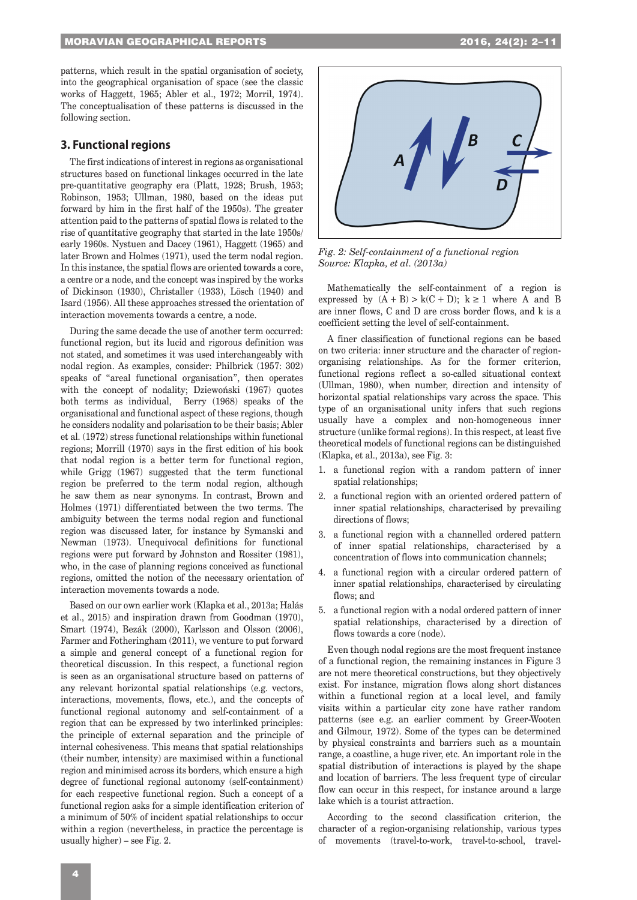patterns, which result in the spatial organisation of society, into the geographical organisation of space (see the classic works of Haggett, 1965; Abler et al., 1972; Morril, 1974). The conceptualisation of these patterns is discussed in the following section.

### **3. Functional regions**

The first indications of interest in regions as organisational structures based on functional linkages occurred in the late pre-quantitative geography era (Platt, 1928; Brush, 1953; Robinson, 1953; Ullman, 1980, based on the ideas put forward by him in the first half of the 1950s). The greater attention paid to the patterns of spatial flows is related to the rise of quantitative geography that started in the late 1950s/ early 1960s. Nystuen and Dacey (1961), Haggett (1965) and later Brown and Holmes (1971), used the term nodal region. In this instance, the spatial flows are oriented towards a core, a centre or a node, and the concept was inspired by the works of Dickinson (1930), Christaller (1933), Lösch (1940) and Isard (1956). All these approaches stressed the orientation of interaction movements towards a centre, a node.

During the same decade the use of another term occurred: functional region, but its lucid and rigorous definition was not stated, and sometimes it was used interchangeably with nodal region. As examples, consider: Philbrick (1957: 302) speaks of "areal functional organisation", then operates with the concept of nodality; Dziewoński (1967) quotes both terms as individual, Berry (1968) speaks of the organisational and functional aspect of these regions, though he considers nodality and polarisation to be their basis; Abler et al. (1972) stress functional relationships within functional regions; Morrill (1970) says in the first edition of his book that nodal region is a better term for functional region, while Grigg (1967) suggested that the term functional region be preferred to the term nodal region, although he saw them as near synonyms. In contrast, Brown and Holmes (1971) differentiated between the two terms. The ambiguity between the terms nodal region and functional region was discussed later, for instance by Symanski and Newman (1973). Unequivocal definitions for functional regions were put forward by Johnston and Rossiter (1981), who, in the case of planning regions conceived as functional regions, omitted the notion of the necessary orientation of interaction movements towards a node.

Based on our own earlier work (Klapka et al., 2013a; Halás et al., 2015) and inspiration drawn from Goodman (1970), Smart (1974), Bezák (2000), Karlsson and Olsson (2006), Farmer and Fotheringham (2011), we venture to put forward a simple and general concept of a functional region for theoretical discussion. In this respect, a functional region is seen as an organisational structure based on patterns of any relevant horizontal spatial relationships (e.g. vectors, interactions, movements, flows, etc.), and the concepts of functional regional autonomy and self-containment of a region that can be expressed by two interlinked principles: the principle of external separation and the principle of internal cohesiveness. This means that spatial relationships (their number, intensity) are maximised within a functional region and minimised across its borders, which ensure a high degree of functional regional autonomy (self-containment) for each respective functional region. Such a concept of a functional region asks for a simple identification criterion of a minimum of 50% of incident spatial relationships to occur within a region (nevertheless, in practice the percentage is usually higher) – see Fig. 2.



*Fig. 2: Self-containment of a functional region Source: Klapka, et al. (2013a)*

Mathematically the self-containment of a region is expressed by  $(A + B) > k(C + D)$ ;  $k \ge 1$  where A and B are inner flows, C and D are cross border flows, and k is a coefficient setting the level of self-containment.

A finer classification of functional regions can be based on two criteria: inner structure and the character of regionorganising relationships. As for the former criterion, functional regions reflect a so-called situational context (Ullman, 1980), when number, direction and intensity of horizontal spatial relationships vary across the space. This type of an organisational unity infers that such regions usually have a complex and non-homogeneous inner structure (unlike formal regions). In this respect, at least five theoretical models of functional regions can be distinguished (Klapka, et al., 2013a), see Fig. 3:

- 1. a functional region with a random pattern of inner spatial relationships;
- 2. a functional region with an oriented ordered pattern of inner spatial relationships, characterised by prevailing directions of flows;
- 3. a functional region with a channelled ordered pattern of inner spatial relationships, characterised by a concentration of flows into communication channels;
- 4. a functional region with a circular ordered pattern of inner spatial relationships, characterised by circulating flows; and
- 5. a functional region with a nodal ordered pattern of inner spatial relationships, characterised by a direction of flows towards a core (node).

Even though nodal regions are the most frequent instance of a functional region, the remaining instances in Figure 3 are not mere theoretical constructions, but they objectively exist. For instance, migration flows along short distances within a functional region at a local level, and family visits within a particular city zone have rather random patterns (see e.g. an earlier comment by Greer-Wooten and Gilmour, 1972). Some of the types can be determined by physical constraints and barriers such as a mountain range, a coastline, a huge river, etc. An important role in the spatial distribution of interactions is played by the shape and location of barriers. The less frequent type of circular flow can occur in this respect, for instance around a large lake which is a tourist attraction.

According to the second classification criterion, the character of a region-organising relationship, various types of movements (travel-to-work, travel-to-school, travel-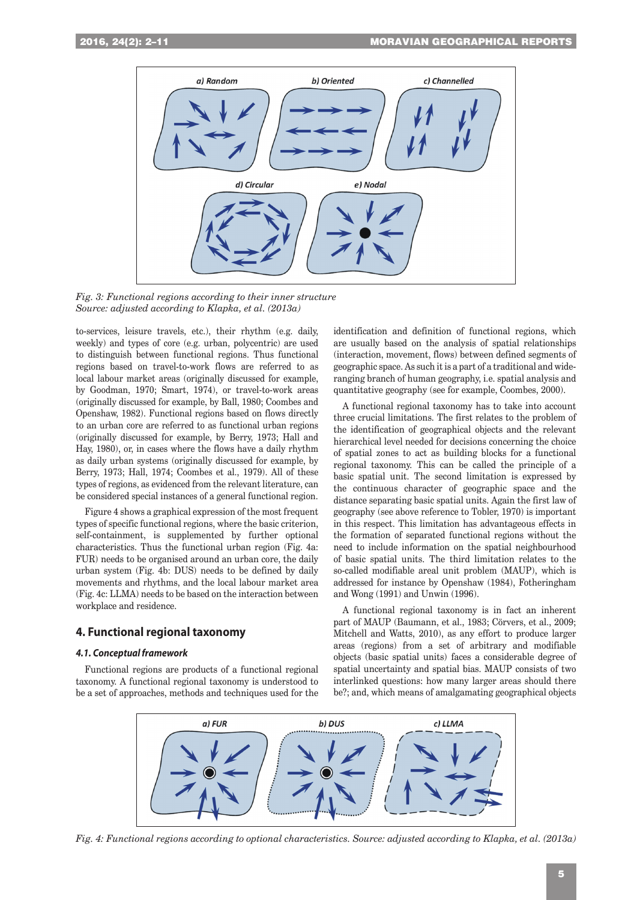

*Fig. 3: Functional regions according to their inner structure Source: adjusted according to Klapka, et al. (2013a)*

to-services, leisure travels, etc.), their rhythm (e.g. daily, weekly) and types of core (e.g. urban, polycentric) are used to distinguish between functional regions. Thus functional regions based on travel-to-work flows are referred to as local labour market areas (originally discussed for example, by Goodman, 1970; Smart, 1974), or travel-to-work areas (originally discussed for example, by Ball, 1980; Coombes and Openshaw, 1982). Functional regions based on flows directly to an urban core are referred to as functional urban regions (originally discussed for example, by Berry, 1973; Hall and Hay, 1980), or, in cases where the flows have a daily rhythm as daily urban systems (originally discussed for example, by Berry, 1973; Hall, 1974; Coombes et al., 1979). All of these types of regions, as evidenced from the relevant literature, can be considered special instances of a general functional region.

Figure 4 shows a graphical expression of the most frequent types of specific functional regions, where the basic criterion, self-containment, is supplemented by further optional characteristics. Thus the functional urban region (Fig. 4a: FUR) needs to be organised around an urban core, the daily urban system (Fig. 4b: DUS) needs to be defined by daily movements and rhythms, and the local labour market area (Fig. 4c: LLMA) needs to be based on the interaction between workplace and residence.

### **4. Functional regional taxonomy**

#### *4.1. Conceptual framework*

Functional regions are products of a functional regional taxonomy. A functional regional taxonomy is understood to be a set of approaches, methods and techniques used for the identification and definition of functional regions, which are usually based on the analysis of spatial relationships (interaction, movement, flows) between defined segments of geographic space. As such it is a part of a traditional and wideranging branch of human geography, i.e. spatial analysis and quantitative geography (see for example, Coombes, 2000).

A functional regional taxonomy has to take into account three crucial limitations. The first relates to the problem of the identification of geographical objects and the relevant hierarchical level needed for decisions concerning the choice of spatial zones to act as building blocks for a functional regional taxonomy. This can be called the principle of a basic spatial unit. The second limitation is expressed by the continuous character of geographic space and the distance separating basic spatial units. Again the first law of geography (see above reference to Tobler, 1970) is important in this respect. This limitation has advantageous effects in the formation of separated functional regions without the need to include information on the spatial neighbourhood of basic spatial units. The third limitation relates to the so-called modifiable areal unit problem (MAUP), which is addressed for instance by Openshaw (1984), Fotheringham and Wong (1991) and Unwin (1996).

A functional regional taxonomy is in fact an inherent part of MAUP (Baumann, et al., 1983; Cörvers, et al., 2009; Mitchell and Watts, 2010), as any effort to produce larger areas (regions) from a set of arbitrary and modifiable objects (basic spatial units) faces a considerable degree of spatial uncertainty and spatial bias. MAUP consists of two interlinked questions: how many larger areas should there be?; and, which means of amalgamating geographical objects



*Fig. 4: Functional regions according to optional characteristics. Source: adjusted according to Klapka, et al. (2013a)*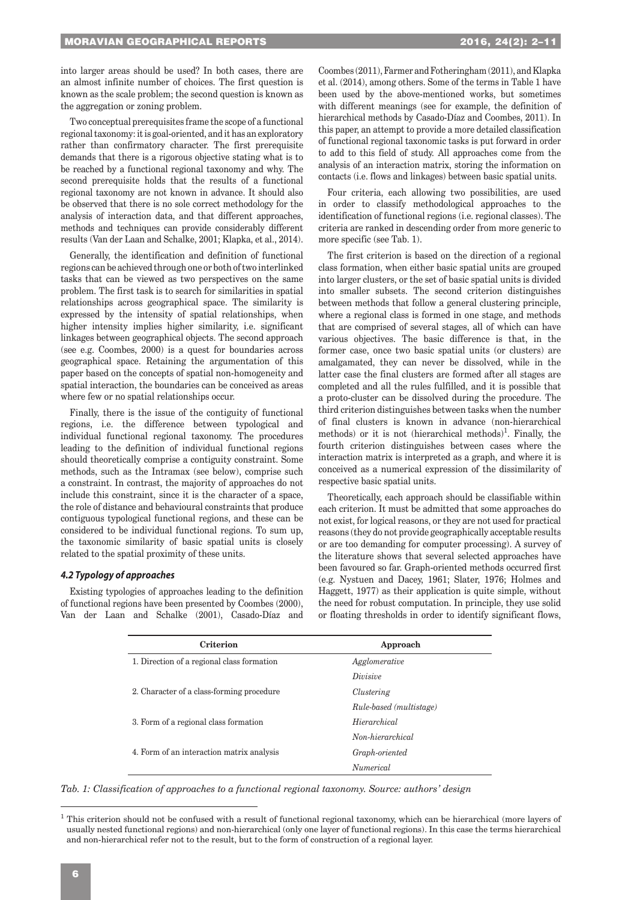into larger areas should be used? In both cases, there are an almost infinite number of choices. The first question is known as the scale problem; the second question is known as the aggregation or zoning problem.

Two conceptual prerequisites frame the scope of a functional regional taxonomy: it is goal-oriented, and it has an exploratory rather than confirmatory character. The first prerequisite demands that there is a rigorous objective stating what is to be reached by a functional regional taxonomy and why. The second prerequisite holds that the results of a functional regional taxonomy are not known in advance. It should also be observed that there is no sole correct methodology for the analysis of interaction data, and that different approaches, methods and techniques can provide considerably different results (Van der Laan and Schalke, 2001; Klapka, et al., 2014).

Generally, the identification and definition of functional regions can be achieved through one or both of two interlinked tasks that can be viewed as two perspectives on the same problem. The first task is to search for similarities in spatial relationships across geographical space. The similarity is expressed by the intensity of spatial relationships, when higher intensity implies higher similarity, i.e. significant linkages between geographical objects. The second approach (see e.g. Coombes, 2000) is a quest for boundaries across geographical space. Retaining the argumentation of this paper based on the concepts of spatial non-homogeneity and spatial interaction, the boundaries can be conceived as areas where few or no spatial relationships occur.

Finally, there is the issue of the contiguity of functional regions, i.e. the difference between typological and individual functional regional taxonomy. The procedures leading to the definition of individual functional regions should theoretically comprise a contiguity constraint. Some methods, such as the Intramax (see below), comprise such a constraint. In contrast, the majority of approaches do not include this constraint, since it is the character of a space, the role of distance and behavioural constraints that produce contiguous typological functional regions, and these can be considered to be individual functional regions. To sum up, the taxonomic similarity of basic spatial units is closely related to the spatial proximity of these units.

#### *4.2 Typology of approaches*

Existing typologies of approaches leading to the definition of functional regions have been presented by Coombes (2000), Van der Laan and Schalke (2001), Casado-Díaz and Coombes (2011), Farmer and Fotheringham (2011), and Klapka et al. (2014), among others. Some of the terms in Table 1 have been used by the above-mentioned works, but sometimes with different meanings (see for example, the definition of hierarchical methods by Casado-Díaz and Coombes, 2011). In this paper, an attempt to provide a more detailed classification of functional regional taxonomic tasks is put forward in order to add to this field of study. All approaches come from the analysis of an interaction matrix, storing the information on contacts (i.e. flows and linkages) between basic spatial units.

Four criteria, each allowing two possibilities, are used in order to classify methodological approaches to the identification of functional regions (i.e. regional classes). The criteria are ranked in descending order from more generic to more specific (see Tab. 1).

The first criterion is based on the direction of a regional class formation, when either basic spatial units are grouped into larger clusters, or the set of basic spatial units is divided into smaller subsets. The second criterion distinguishes between methods that follow a general clustering principle, where a regional class is formed in one stage, and methods that are comprised of several stages, all of which can have various objectives. The basic difference is that, in the former case, once two basic spatial units (or clusters) are amalgamated, they can never be dissolved, while in the latter case the final clusters are formed after all stages are completed and all the rules fulfilled, and it is possible that a proto-cluster can be dissolved during the procedure. The third criterion distinguishes between tasks when the number of final clusters is known in advance (non-hierarchical methods) or it is not (hierarchical methods)<sup>1</sup>. Finally, the fourth criterion distinguishes between cases where the interaction matrix is interpreted as a graph, and where it is conceived as a numerical expression of the dissimilarity of respective basic spatial units.

Theoretically, each approach should be classifiable within each criterion. It must be admitted that some approaches do not exist, for logical reasons, or they are not used for practical reasons (they do not provide geographically acceptable results or are too demanding for computer processing). A survey of the literature shows that several selected approaches have been favoured so far. Graph-oriented methods occurred first (e.g. Nystuen and Dacey, 1961; Slater, 1976; Holmes and Haggett, 1977) as their application is quite simple, without the need for robust computation. In principle, they use solid or floating thresholds in order to identify significant flows,

| <b>Criterion</b>                           | Approach                |
|--------------------------------------------|-------------------------|
| 1. Direction of a regional class formation | Agglomerative           |
|                                            | <i>Divisive</i>         |
| 2. Character of a class-forming procedure  | Clustering              |
|                                            | Rule-based (multistage) |
| 3. Form of a regional class formation      | Hierarchical            |
|                                            | Non-hierarchical        |
| 4. Form of an interaction matrix analysis  | Graph-oriented          |
|                                            | <i>Numerical</i>        |

*Tab. 1: Classification of approaches to a functional regional taxonomy. Source: authors' design*

 $1$  This criterion should not be confused with a result of functional regional taxonomy, which can be hierarchical (more layers of usually nested functional regions) and non-hierarchical (only one layer of functional regions). In this case the terms hierarchical and non-hierarchical refer not to the result, but to the form of construction of a regional layer.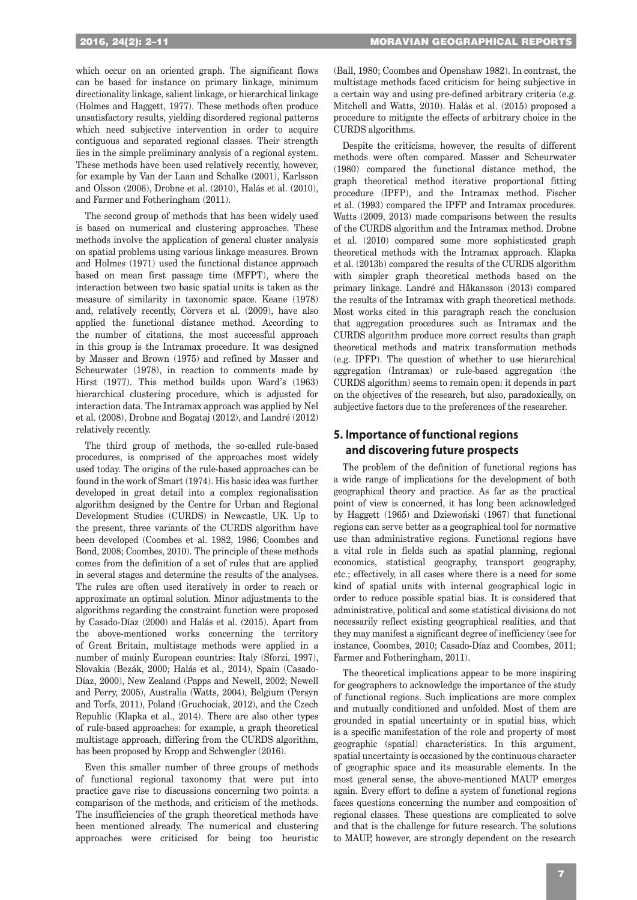which occur on an oriented graph. The significant flows can be based for instance on primary linkage, minimum directionality linkage, salient linkage, or hierarchical linkage (Holmes and Haggett, 1977). These methods often produce unsatisfactory results, yielding disordered regional patterns which need subjective intervention in order to acquire contiguous and separated regional classes. Their strength lies in the simple preliminary analysis of a regional system. These methods have been used relatively recently, however, for example by Van der Laan and Schalke (2001), Karlsson and Olsson (2006), Drobne et al. (2010), Halás et al. (2010), and Farmer and Fotheringham (2011).

The second group of methods that has been widely used is based on numerical and clustering approaches. These methods involve the application of general cluster analysis on spatial problems using various linkage measures. Brown and Holmes (1971) used the functional distance approach based on mean first passage time (MFPT), where the interaction between two basic spatial units is taken as the measure of similarity in taxonomic space. Keane (1978) and, relatively recently, Cörvers et al. (2009), have also applied the functional distance method. According to the number of citations, the most successful approach in this group is the Intramax procedure. It was designed by Masser and Brown (1975) and refined by Masser and Scheurwater (1978), in reaction to comments made by Hirst (1977). This method builds upon Ward's (1963) hierarchical clustering procedure, which is adjusted for interaction data. The Intramax approach was applied by Nel et al. (2008), Drobne and Bogataj (2012), and Landré (2012) relatively recently.

The third group of methods, the so-called rule-based procedures, is comprised of the approaches most widely used today. The origins of the rule-based approaches can be found in the work of Smart (1974). His basic idea was further developed in great detail into a complex regionalisation algorithm designed by the Centre for Urban and Regional Development Studies (CURDS) in Newcastle, UK. Up to the present, three variants of the CURDS algorithm have been developed (Coombes et al. 1982, 1986; Coombes and Bond, 2008; Coombes, 2010). The principle of these methods comes from the definition of a set of rules that are applied in several stages and determine the results of the analyses. The rules are often used iteratively in order to reach or approximate an optimal solution. Minor adjustments to the algorithms regarding the constraint function were proposed by Casado-Díaz (2000) and Halás et al. (2015). Apart from the above-mentioned works concerning the territory of Great Britain, multistage methods were applied in a number of mainly European countries: Italy (Sforzi, 1997), Slovakia (Bezák, 2000; Halás et al., 2014), Spain (Casado-Díaz, 2000), New Zealand (Papps and Newell, 2002; Newell and Perry, 2005), Australia (Watts, 2004), Belgium (Persyn and Torfs, 2011), Poland (Gruchociak, 2012), and the Czech Republic (Klapka et al., 2014). There are also other types of rule-based approaches: for example, a graph theoretical multistage approach, differing from the CURDS algorithm, has been proposed by Kropp and Schwengler (2016).

Even this smaller number of three groups of methods of functional regional taxonomy that were put into practice gave rise to discussions concerning two points: a comparison of the methods, and criticism of the methods. The insufficiencies of the graph theoretical methods have been mentioned already. The numerical and clustering approaches were criticised for being too heuristic (Ball, 1980; Coombes and Openshaw 1982). In contrast, the multistage methods faced criticism for being subjective in a certain way and using pre-defined arbitrary criteria (e.g. Mitchell and Watts, 2010). Halás et al. (2015) proposed a procedure to mitigate the effects of arbitrary choice in the CURDS algorithms.

Despite the criticisms, however, the results of different methods were often compared. Masser and Scheurwater (1980) compared the functional distance method, the graph theoretical method iterative proportional fitting procedure (IPFP), and the Intramax method. Fischer et al. (1993) compared the IPFP and Intramax procedures. Watts (2009, 2013) made comparisons between the results of the CURDS algorithm and the Intramax method. Drobne et al. (2010) compared some more sophisticated graph theoretical methods with the Intramax approach. Klapka et al. (2013b) compared the results of the CURDS algorithm with simpler graph theoretical methods based on the primary linkage. Landré and H�kansson (2013) compared the results of the Intramax with graph theoretical methods. Most works cited in this paragraph reach the conclusion that aggregation procedures such as Intramax and the CURDS algorithm produce more correct results than graph theoretical methods and matrix transformation methods (e.g. IPFP). The question of whether to use hierarchical aggregation (Intramax) or rule-based aggregation (the CURDS algorithm) seems to remain open: it depends in part on the objectives of the research, but also, paradoxically, on subjective factors due to the preferences of the researcher.

## **5. Importance of functional regions and discovering future prospects**

The problem of the definition of functional regions has a wide range of implications for the development of both geographical theory and practice. As far as the practical point of view is concerned, it has long been acknowledged by Haggett (1965) and Dziewoński (1967) that functional regions can serve better as a geographical tool for normative use than administrative regions. Functional regions have a vital role in fields such as spatial planning, regional economics, statistical geography, transport geography, etc.; effectively, in all cases where there is a need for some kind of spatial units with internal geographical logic in order to reduce possible spatial bias. It is considered that administrative, political and some statistical divisions do not necessarily reflect existing geographical realities, and that they may manifest a significant degree of inefficiency (see for instance, Coombes, 2010; Casado-Díaz and Coombes, 2011; Farmer and Fotheringham, 2011).

The theoretical implications appear to be more inspiring for geographers to acknowledge the importance of the study of functional regions. Such implications are more complex and mutually conditioned and unfolded. Most of them are grounded in spatial uncertainty or in spatial bias, which is a specific manifestation of the role and property of most geographic (spatial) characteristics. In this argument, spatial uncertainty is occasioned by the continuous character of geographic space and its measurable elements. In the most general sense, the above-mentioned MAUP emerges again. Every effort to define a system of functional regions faces questions concerning the number and composition of regional classes. These questions are complicated to solve and that is the challenge for future research. The solutions to MAUP, however, are strongly dependent on the research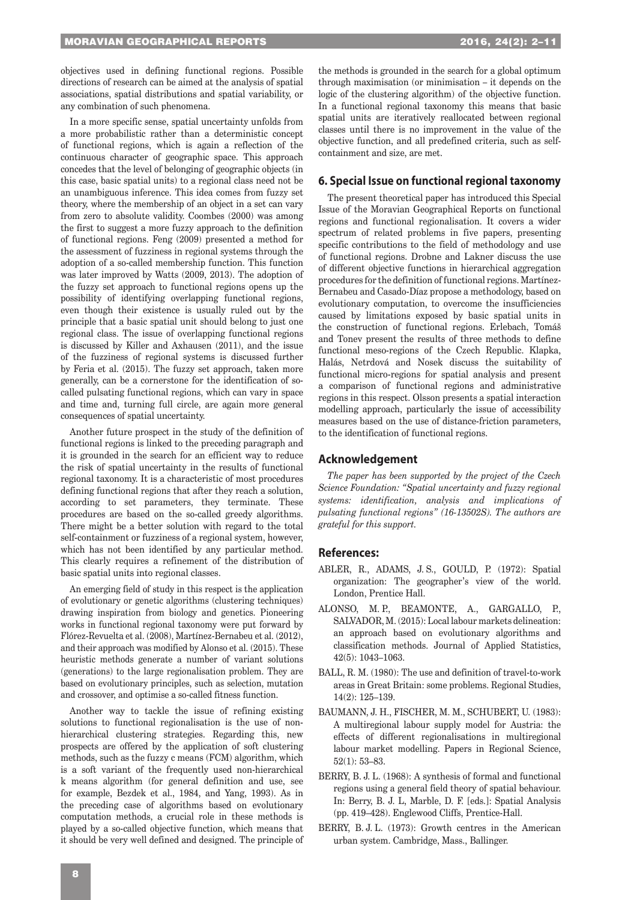objectives used in defining functional regions. Possible directions of research can be aimed at the analysis of spatial associations, spatial distributions and spatial variability, or any combination of such phenomena.

In a more specific sense, spatial uncertainty unfolds from a more probabilistic rather than a deterministic concept of functional regions, which is again a reflection of the continuous character of geographic space. This approach concedes that the level of belonging of geographic objects (in this case, basic spatial units) to a regional class need not be an unambiguous inference. This idea comes from fuzzy set theory, where the membership of an object in a set can vary from zero to absolute validity. Coombes (2000) was among the first to suggest a more fuzzy approach to the definition of functional regions. Feng (2009) presented a method for the assessment of fuzziness in regional systems through the adoption of a so-called membership function. This function was later improved by Watts (2009, 2013). The adoption of the fuzzy set approach to functional regions opens up the possibility of identifying overlapping functional regions, even though their existence is usually ruled out by the principle that a basic spatial unit should belong to just one regional class. The issue of overlapping functional regions is discussed by Killer and Axhausen (2011), and the issue of the fuzziness of regional systems is discussed further by Feria et al. (2015). The fuzzy set approach, taken more generally, can be a cornerstone for the identification of socalled pulsating functional regions, which can vary in space and time and, turning full circle, are again more general consequences of spatial uncertainty.

Another future prospect in the study of the definition of functional regions is linked to the preceding paragraph and it is grounded in the search for an efficient way to reduce the risk of spatial uncertainty in the results of functional regional taxonomy. It is a characteristic of most procedures defining functional regions that after they reach a solution, according to set parameters, they terminate. These procedures are based on the so-called greedy algorithms. There might be a better solution with regard to the total self-containment or fuzziness of a regional system, however, which has not been identified by any particular method. This clearly requires a refinement of the distribution of basic spatial units into regional classes.

An emerging field of study in this respect is the application of evolutionary or genetic algorithms (clustering techniques) drawing inspiration from biology and genetics. Pioneering works in functional regional taxonomy were put forward by Flórez-Revuelta et al. (2008), Martínez-Bernabeu et al. (2012), and their approach was modified by Alonso et al. (2015). These heuristic methods generate a number of variant solutions (generations) to the large regionalisation problem. They are based on evolutionary principles, such as selection, mutation and crossover, and optimise a so-called fitness function.

Another way to tackle the issue of refining existing solutions to functional regionalisation is the use of nonhierarchical clustering strategies. Regarding this, new prospects are offered by the application of soft clustering methods, such as the fuzzy c means (FCM) algorithm, which is a soft variant of the frequently used non-hierarchical k means algorithm (for general definition and use, see for example, Bezdek et al., 1984, and Yang, 1993). As in the preceding case of algorithms based on evolutionary computation methods, a crucial role in these methods is played by a so-called objective function, which means that it should be very well defined and designed. The principle of

the methods is grounded in the search for a global optimum through maximisation (or minimisation – it depends on the logic of the clustering algorithm) of the objective function. In a functional regional taxonomy this means that basic spatial units are iteratively reallocated between regional classes until there is no improvement in the value of the objective function, and all predefined criteria, such as selfcontainment and size, are met.

## **6. Special Issue on functional regional taxonomy**

The present theoretical paper has introduced this Special Issue of the Moravian Geographical Reports on functional regions and functional regionalisation. It covers a wider spectrum of related problems in five papers, presenting specific contributions to the field of methodology and use of functional regions. Drobne and Lakner discuss the use of different objective functions in hierarchical aggregation procedures for the definition of functional regions. Martínez-Bernabeu and Casado-Díaz propose a methodology, based on evolutionary computation, to overcome the insufficiencies caused by limitations exposed by basic spatial units in the construction of functional regions. Erlebach, Tomáš and Tonev present the results of three methods to define functional meso-regions of the Czech Republic. Klapka, Halás, Netrdová and Nosek discuss the suitability of functional micro-regions for spatial analysis and present a comparison of functional regions and administrative regions in this respect. Olsson presents a spatial interaction modelling approach, particularly the issue of accessibility measures based on the use of distance-friction parameters, to the identification of functional regions.

## **Acknowledgement**

*The paper has been supported by the project of the Czech Science Foundation: "Spatial uncertainty and fuzzy regional systems: identification, analysis and implications of pulsating functional regions" (16-13502S). The authors are grateful for this support.*

### **References:**

- ABLER, R., ADAMS, J. S., GOULD, P. (1972): Spatial organization: The geographer's view of the world. London, Prentice Hall.
- ALONSO, M. P., BEAMONTE, A., GARGALLO, P., SALVADOR, M.(2015): Local labour markets delineation: an approach based on evolutionary algorithms and classification methods. Journal of Applied Statistics, 42(5): 1043–1063.
- BALL, R. M. (1980): The use and definition of travel-to-work areas in Great Britain: some problems. Regional Studies, 14(2): 125–139.
- BAUMANN, J. H., FISCHER, M. M., SCHUBERT, U. (1983): A multiregional labour supply model for Austria: the effects of different regionalisations in multiregional labour market modelling. Papers in Regional Science, 52(1): 53–83.
- BERRY, B. J. L. (1968): A synthesis of formal and functional regions using a general field theory of spatial behaviour. In: Berry, B. J. L, Marble, D. F. [eds.]: Spatial Analysis (pp. 419–428). Englewood Cliffs, Prentice-Hall.
- BERRY, B. J. L. (1973): Growth centres in the American urban system. Cambridge, Mass., Ballinger.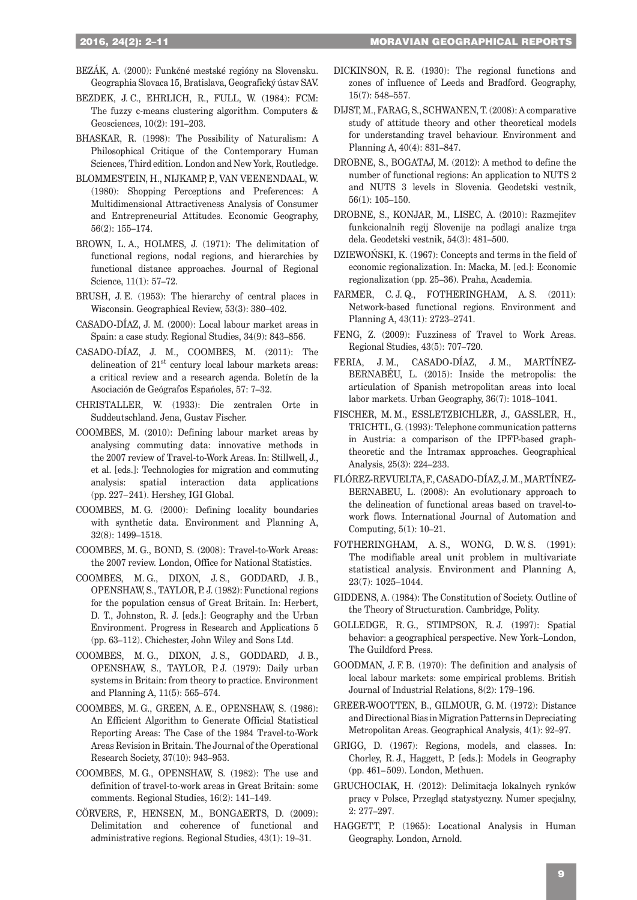### 2016, 24(2): 2–11

- BEZÁK, A. (2000): Funkčné mestské regióny na Slovensku. Geographia Slovaca 15, Bratislava, Geografický ústav SAV.
- BEZDEK, J. C., EHRLICH, R., FULL, W. (1984): FCM: The fuzzy c-means clustering algorithm. Computers & Geosciences, 10(2): 191–203.
- BHASKAR, R. (1998): The Possibility of Naturalism: A Philosophical Critique of the Contemporary Human Sciences, Third edition. London and New York, Routledge.
- BLOMMESTEIN, H., NIJKAMP, P., VAN VEENENDAAL, W. (1980): Shopping Perceptions and Preferences: A Multidimensional Attractiveness Analysis of Consumer and Entrepreneurial Attitudes. Economic Geography, 56(2): 155–174.
- BROWN, L. A., HOLMES, J. (1971): The delimitation of functional regions, nodal regions, and hierarchies by functional distance approaches. Journal of Regional Science, 11(1): 57–72.
- BRUSH, J. E. (1953): The hierarchy of central places in Wisconsin. Geographical Review, 53(3): 380–402.
- CASADO-DÍAZ, J. M. (2000): Local labour market areas in Spain: a case study. Regional Studies, 34(9): 843–856.
- CASADO-DÍAZ, J. M., COOMBES, M. (2011): The delineation of  $21<sup>st</sup>$  century local labour markets areas: a critical review and a research agenda. Boletín de la Asociación de Geógrafos Españoles, 57: 7–32.
- CHRISTALLER, W. (1933): Die zentralen Orte in Suddeutschland. Jena, Gustav Fischer.
- COOMBES, M. (2010): Defining labour market areas by analysing commuting data: innovative methods in the 2007 review of Travel-to-Work Areas. In: Stillwell, J., et al. [eds.]: Technologies for migration and commuting analysis: spatial interaction data applications (pp. 227–241). Hershey, IGI Global.
- COOMBES, M. G. (2000): Defining locality boundaries with synthetic data. Environment and Planning A, 32(8): 1499–1518.
- COOMBES, M. G., BOND, S. (2008): Travel-to-Work Areas: the 2007 review. London, Office for National Statistics.
- COOMBES, M. G., DIXON, J. S., GODDARD, J. B., OPENSHAW, S., TAYLOR, P. J. (1982): Functional regions for the population census of Great Britain. In: Herbert, D. T., Johnston, R. J. [eds.]: Geography and the Urban Environment. Progress in Research and Applications 5 (pp. 63–112). Chichester, John Wiley and Sons Ltd.
- COOMBES, M. G., DIXON, J. S., GODDARD, J. B., OPENSHAW, S., TAYLOR, P.J. (1979): Daily urban systems in Britain: from theory to practice. Environment and Planning A, 11(5): 565–574.
- COOMBES, M. G., GREEN, A. E., OPENSHAW, S. (1986): An Efficient Algorithm to Generate Official Statistical Reporting Areas: The Case of the 1984 Travel-to-Work Areas Revision in Britain. The Journal of the Operational Research Society, 37(10): 943–953.
- COOMBES, M. G., OPENSHAW, S. (1982): The use and definition of travel-to-work areas in Great Britain: some comments. Regional Studies, 16(2): 141–149.
- CÖRVERS, F., HENSEN, M., BONGAERTS, D. (2009): Delimitation and coherence of functional and administrative regions. Regional Studies, 43(1): 19–31.
- DICKINSON, R. E. (1930): The regional functions and zones of influence of Leeds and Bradford. Geography, 15(7): 548–557.
- DIJST, M., FARAG, S., SCHWANEN, T.(2008): A comparative study of attitude theory and other theoretical models for understanding travel behaviour. Environment and Planning A, 40(4): 831–847.
- DROBNE, S., BOGATAJ, M. (2012): A method to define the number of functional regions: An application to NUTS 2 and NUTS 3 levels in Slovenia. Geodetski vestnik, 56(1): 105–150.
- DROBNE, S., KONJAR, M., LISEC, A. (2010): Razmejitev funkcionalnih regij Slovenije na podlagi analize trga dela. Geodetski vestnik, 54(3): 481–500.
- DZIEWOŃSKI, K. (1967): Concepts and terms in the field of economic regionalization. In: Macka, M. [ed.]: Economic regionalization (pp. 25–36). Praha, Academia.
- FARMER, C.J.Q., FOTHERINGHAM, A.S. (2011): Network-based functional regions. Environment and Planning A, 43(11): 2723–2741.
- FENG, Z. (2009): Fuzziness of Travel to Work Areas. Regional Studies, 43(5): 707–720.
- FERIA, J. M., CASADO-DÍAZ, J. M., MARTÍNEZ-BERNABÉU, L. (2015): Inside the metropolis: the articulation of Spanish metropolitan areas into local labor markets. Urban Geography, 36(7): 1018–1041.
- FISCHER, M. M., ESSLETZBICHLER, J., GASSLER, H., TRICHTL, G. (1993): Telephone communication patterns in Austria: a comparison of the IPFP-based graphtheoretic and the Intramax approaches. Geographical Analysis, 25(3): 224–233.
- FLÓREZ-REVUELTA, F., CASADO-DÍAZ, J.M., MARTÍNEZ-BERNABEU, L. (2008): An evolutionary approach to the delineation of functional areas based on travel-towork flows. International Journal of Automation and Computing, 5(1): 10–21.
- FOTHERINGHAM, A.S., WONG, D.W.S. (1991): The modifiable areal unit problem in multivariate statistical analysis. Environment and Planning A, 23(7): 1025–1044.
- GIDDENS, A. (1984): The Constitution of Society. Outline of the Theory of Structuration. Cambridge, Polity.
- GOLLEDGE, R. G., STIMPSON, R. J. (1997): Spatial behavior: a geographical perspective. New York–London, The Guildford Press.
- GOODMAN, J. F. B. (1970): The definition and analysis of local labour markets: some empirical problems. British Journal of Industrial Relations, 8(2): 179–196.
- GREER-WOOTTEN, B., GILMOUR, G. M. (1972): Distance and Directional Bias in Migration Patterns in Depreciating Metropolitan Areas. Geographical Analysis, 4(1): 92–97.
- GRIGG, D. (1967): Regions, models, and classes. In: Chorley, R. J., Haggett, P. [eds.]: Models in Geography (pp. 461–509). London, Methuen.
- GRUCHOCIAK, H. (2012): Delimitacja lokalnych rynków pracy v Polsce, Przegląd statystyczny. Numer specjalny, 2: 277–297.
- HAGGETT, P. (1965): Locational Analysis in Human Geography. London, Arnold.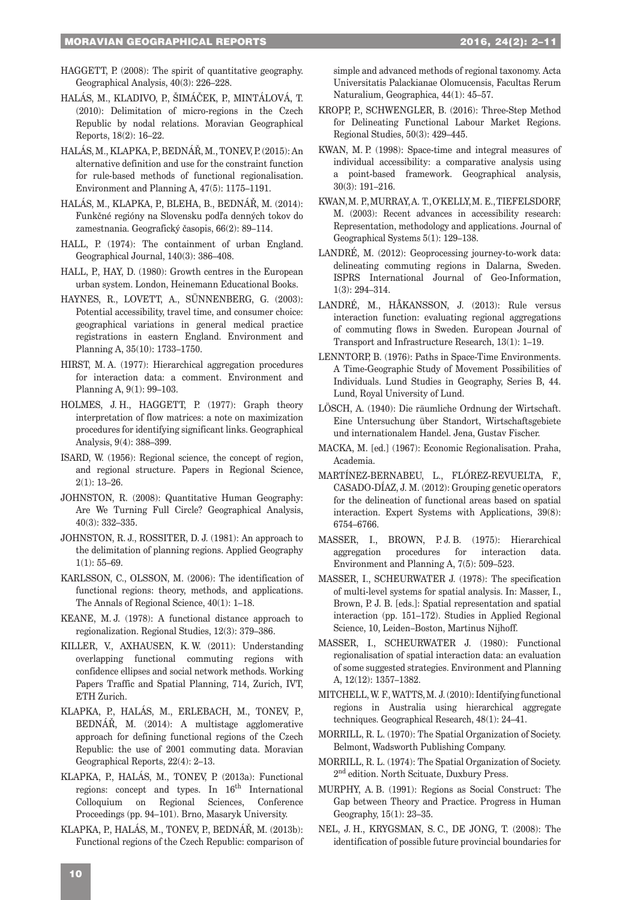- HAGGETT, P. (2008): The spirit of quantitative geography. Geographical Analysis, 40(3): 226–228.
- HALÁS, M., KLADIVO, P., ŠIMÁČEK, P., MINTÁLOVÁ, T. (2010): Delimitation of micro-regions in the Czech Republic by nodal relations. Moravian Geographical Reports, 18(2): 16–22.
- HALÁS, M., KLAPKA, P., BEDNÁŘ, M., TONEV, P.(2015): An alternative definition and use for the constraint function for rule-based methods of functional regionalisation. Environment and Planning A, 47(5): 1175–1191.
- HALÁS, M., KLAPKA, P., BLEHA, B., BEDNÁŘ, M. (2014): Funkčné regióny na Slovensku podľa denných tokov do zamestnania. Geografický časopis, 66(2): 89–114.
- HALL, P. (1974): The containment of urban England. Geographical Journal, 140(3): 386–408.
- HALL, P., HAY, D. (1980): Growth centres in the European urban system. London, Heinemann Educational Books.
- HAYNES, R., LOVETT, A., SÜNNENBERG, G. (2003): Potential accessibility, travel time, and consumer choice: geographical variations in general medical practice registrations in eastern England. Environment and Planning A, 35(10): 1733–1750.
- HIRST, M. A. (1977): Hierarchical aggregation procedures for interaction data: a comment. Environment and Planning A, 9(1): 99–103.
- HOLMES, J. H., HAGGETT, P. (1977): Graph theory interpretation of flow matrices: a note on maximization procedures for identifying significant links. Geographical Analysis, 9(4): 388–399.
- ISARD, W. (1956): Regional science, the concept of region, and regional structure. Papers in Regional Science, 2(1): 13–26.
- JOHNSTON, R. (2008): Quantitative Human Geography: Are We Turning Full Circle? Geographical Analysis, 40(3): 332–335.
- JOHNSTON, R. J., ROSSITER, D. J. (1981): An approach to the delimitation of planning regions. Applied Geography  $1(1): 55-69.$
- KARLSSON, C., OLSSON, M. (2006): The identification of functional regions: theory, methods, and applications. The Annals of Regional Science, 40(1): 1–18.
- KEANE, M. J. (1978): A functional distance approach to regionalization. Regional Studies, 12(3): 379–386.
- KILLER, V., AXHAUSEN, K. W. (2011): Understanding overlapping functional commuting regions with confidence ellipses and social network methods. Working Papers Traffic and Spatial Planning, 714, Zurich, IVT, ETH Zurich.
- KLAPKA, P., HALÁS, M., ERLEBACH, M., TONEV, P., BEDNÁŘ, M. (2014): A multistage agglomerative approach for defining functional regions of the Czech Republic: the use of 2001 commuting data. Moravian Geographical Reports, 22(4): 2–13.
- KLAPKA, P., HALÁS, M., TONEV, P. (2013a): Functional regions: concept and types. In  $16<sup>th</sup>$  International Colloquium on Regional Sciences, Conference Proceedings (pp. 94–101). Brno, Masaryk University.
- KLAPKA, P., HALÁS, M., TONEV, P., BEDNÁŘ, M. (2013b): Functional regions of the Czech Republic: comparison of

simple and advanced methods of regional taxonomy. Acta Universitatis Palackianae Olomucensis, Facultas Rerum Naturalium, Geographica, 44(1): 45–57.

- KROPP, P., SCHWENGLER, B. (2016): Three-Step Method for Delineating Functional Labour Market Regions. Regional Studies, 50(3): 429–445.
- KWAN, M. P. (1998): Space-time and integral measures of individual accessibility: a comparative analysis using a point-based framework. Geographical analysis, 30(3): 191–216.
- KWAN, M. P., MURRAY, A. T., O'KELLY, M. E., TIEFELSDORF, M. (2003): Recent advances in accessibility research: Representation, methodology and applications. Journal of Geographical Systems 5(1): 129–138.
- LANDRÉ, M. (2012): Geoprocessing journey-to-work data: delineating commuting regions in Dalarna, Sweden. ISPRS International Journal of Geo-Information, 1(3): 294–314.
- LANDRÉ, M., HÅKANSSON, J. (2013): Rule versus interaction function: evaluating regional aggregations of commuting flows in Sweden. European Journal of Transport and Infrastructure Research, 13(1): 1–19.
- LENNTORP, B. (1976): Paths in Space-Time Environments. A Time-Geographic Study of Movement Possibilities of Individuals. Lund Studies in Geography, Series B, 44. Lund, Royal University of Lund.
- LÖSCH, A. (1940): Die räumliche Ordnung der Wirtschaft. Eine Untersuchung über Standort, Wirtschaftsgebiete und internationalem Handel. Jena, Gustav Fischer.
- MACKA, M. [ed.] (1967): Economic Regionalisation. Praha, Academia.
- MARTÍNEZ-BERNABEU, L., FLÓREZ-REVUELTA, F., CASADO-DÍAZ, J. M. (2012): Grouping genetic operators for the delineation of functional areas based on spatial interaction. Expert Systems with Applications, 39(8): 6754–6766.
- MASSER, I., BROWN, P.J. B. (1975): Hierarchical aggregation procedures for interaction data. Environment and Planning A, 7(5): 509–523.
- MASSER, I., SCHEURWATER J. (1978): The specification of multi-level systems for spatial analysis. In: Masser, I., Brown, P. J. B. [eds.]: Spatial representation and spatial interaction (pp. 151–172). Studies in Applied Regional Science, 10, Leiden–Boston, Martinus Nijhoff.
- MASSER, I., SCHEURWATER J. (1980): Functional regionalisation of spatial interaction data: an evaluation of some suggested strategies. Environment and Planning A, 12(12): 1357–1382.
- MITCHELL, W. F., WATTS, M. J.(2010): Identifying functional regions in Australia using hierarchical aggregate techniques. Geographical Research, 48(1): 24–41.
- MORRILL, R. L. (1970): The Spatial Organization of Society. Belmont, Wadsworth Publishing Company.
- MORRILL, R. L. (1974): The Spatial Organization of Society. 2nd edition. North Scituate, Duxbury Press.
- MURPHY, A. B. (1991): Regions as Social Construct: The Gap between Theory and Practice. Progress in Human Geography, 15(1): 23–35.
- NEL, J. H., KRYGSMAN, S. C., DE JONG, T. (2008): The identification of possible future provincial boundaries for